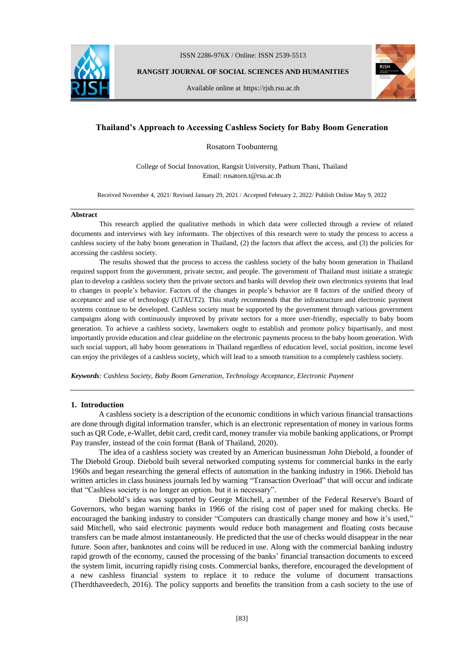

ISSN 2286-976X / Online: ISSN 2539-5513

**RANGSIT JOURNAL OF SOCIAL SCIENCES AND HUMANITIES**

Available online at https://rjsh.rsu.ac.th



# **Thailand's Approach to Accessing Cashless Society for Baby Boom Generation**

Rosatorn Toobunterng

College of Social Innovation, Rangsit University, Pathum Thani, Thailand Email: rosatorn.t@rsu.ac.th

Received November 4, 2021/ Revised January 29, 2021 / Accepted February 2, 2022/ Publish Online May 9, 2022

#### **Abstract**

This research applied the qualitative methods in which data were collected through a review of related documents and interviews with key informants. The objectives of this research were to study the process to access a cashless society of the baby boom generation in Thailand, (2) the factors that affect the access, and (3) the policies for accessing the cashless society.

The results showed that the process to access the cashless society of the baby boom generation in Thailand required support from the government, private sector, and people. The government of Thailand must initiate a strategic plan to develop a cashless society then the private sectors and banks will develop their own electronics systems that lead to changes in people's behavior. Factors of the changes in people's behavior are 8 factors of the unified theory of acceptance and use of technology (UTAUT2). This study recommends that the infrastructure and electronic payment systems continue to be developed. Cashless society must be supported by the government through various government campaigns along with continuously improved by private sectors for a more user-friendly, especially to baby boom generation. To achieve a cashless society, lawmakers ought to establish and promote policy bipartisanly, and most importantly provide education and clear guideline on the electronic payments process to the baby boom generation. With such social support, all baby boom generations in Thailand regardless of education level, social position, income level can enjoy the privileges of a cashless society, which will lead to a smooth transition to a completely cashless society.

*Keywords: Cashless Society, Baby Boom Generation, Technology Acceptance, Electronic Payment*

#### **1. Introduction**

A cashless society is a description of the economic conditions in which various financial transactions are done through digital information transfer, which is an electronic representation of money in various forms such as QR Code, e-Wallet, debit card, credit card, money transfer via mobile banking applications, or Prompt Pay transfer, instead of the coin format (Bank of Thailand, 2020).

The idea of a cashless society was created by an American businessman John Diebold, a founder of The Diebold Group. Diebold built several networked computing systems for commercial banks in the early 1960s and began researching the general effects of automation in the banking industry in 1966. Diebold has written articles in class business journals led by warning "Transaction Overload" that will occur and indicate that "Cashless society is no longer an option. but it is necessary".

Diebold's idea was supported by George Mitchell, a member of the Federal Reserve's Board of Governors, who began warning banks in 1966 of the rising cost of paper used for making checks. He encouraged the banking industry to consider "Computers can drastically change money and how it's used," said Mitchell, who said electronic payments would reduce both management and floating costs because transfers can be made almost instantaneously. He predicted that the use of checks would disappear in the near future. Soon after, banknotes and coins will be reduced in use. Along with the commercial banking industry rapid growth of the economy, caused the processing of the banks' financial transaction documents to exceed the system limit, incurring rapidly rising costs. Commercial banks, therefore, encouraged the development of a new cashless financial system to replace it to reduce the volume of document transactions (Therdthaveedech, 2016). The policy supports and benefits the transition from a cash society to the use of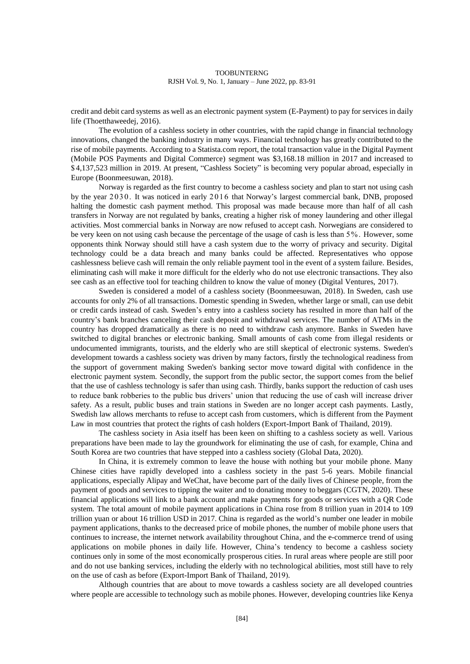credit and debit card systems as well as an electronic payment system (E-Payment) to pay for services in daily life (Thoetthaweedej, 2016).

The evolution of a cashless society in other countries, with the rapid change in financial technology innovations, changed the banking industry in many ways. Financial technology has greatly contributed to the rise of mobile payments. According to a Statista.com report, the total transaction value in the Digital Payment (Mobile POS Payments and Digital Commerce) segment was \$3,168.18 million in 2017 and increased to \$ 4,137,523 million in 2019. At present, "Cashless Society" is becoming very popular abroad, especially in Europe (Boonmeesuwan, 2018).

Norway is regarded as the first country to become a cashless society and plan to start not using cash by the year 2030. It was noticed in early 2016 that Norway's largest commercial bank, DNB, proposed halting the domestic cash payment method. This proposal was made because more than half of all cash transfers in Norway are not regulated by banks, creating a higher risk of money laundering and other illegal activities. Most commercial banks in Norway are now refused to accept cash. Norwegians are considered to be very keen on not using cash because the percentage of the usage of cash is less than 5 %. However, some opponents think Norway should still have a cash system due to the worry of privacy and security. Digital technology could be a data breach and many banks could be affected. Representatives who oppose cashlessness believe cash will remain the only reliable payment tool in the event of a system failure. Besides, eliminating cash will make it more difficult for the elderly who do not use electronic transactions. They also see cash as an effective tool for teaching children to know the value of money (Digital Ventures, 2017).

Sweden is considered a model of a cashless society (Boonmeesuwan, 2018). In Sweden, cash use accounts for only 2% of all transactions. Domestic spending in Sweden, whether large or small, can use debit or credit cards instead of cash. Sweden's entry into a cashless society has resulted in more than half of the country's bank branches canceling their cash deposit and withdrawal services. The number of ATMs in the country has dropped dramatically as there is no need to withdraw cash anymore. Banks in Sweden have switched to digital branches or electronic banking. Small amounts of cash come from illegal residents or undocumented immigrants, tourists, and the elderly who are still skeptical of electronic systems. Sweden's development towards a cashless society was driven by many factors, firstly the technological readiness from the support of government making Sweden's banking sector move toward digital with confidence in the electronic payment system. Secondly, the support from the public sector, the support comes from the belief that the use of cashless technology is safer than using cash. Thirdly, banks support the reduction of cash uses to reduce bank robberies to the public bus drivers' union that reducing the use of cash will increase driver safety. As a result, public buses and train stations in Sweden are no longer accept cash payments. Lastly, Swedish law allows merchants to refuse to accept cash from customers, which is different from the Payment Law in most countries that protect the rights of cash holders (Export-Import Bank of Thailand, 2019).

The cashless society in Asia itself has been keen on shifting to a cashless society as well. Various preparations have been made to lay the groundwork for eliminating the use of cash, for example, China and South Korea are two countries that have stepped into a cashless society (Global Data, 2020).

In China, it is extremely common to leave the house with nothing but your mobile phone. Many Chinese cities have rapidly developed into a cashless society in the past 5-6 years. Mobile financial applications, especially Alipay and WeChat, have become part of the daily lives of Chinese people, from the payment of goods and services to tipping the waiter and to donating money to beggars (CGTN, 2020). These financial applications will link to a bank account and make payments for goods or services with a QR Code system. The total amount of mobile payment applications in China rose from 8 trillion yuan in 2014 to 109 trillion yuan or about 16 trillion USD in 2017. China is regarded as the world's number one leader in mobile payment applications, thanks to the decreased price of mobile phones, the number of mobile phone users that continues to increase, the internet network availability throughout China, and the e-commerce trend of using applications on mobile phones in daily life. However, China's tendency to become a cashless society continues only in some of the most economically prosperous cities. In rural areas where people are still poor and do not use banking services, including the elderly with no technological abilities, most still have to rely on the use of cash as before (Export-Import Bank of Thailand, 2019).

Although countries that are about to move towards a cashless society are all developed countries where people are accessible to technology such as mobile phones. However, developing countries like Kenya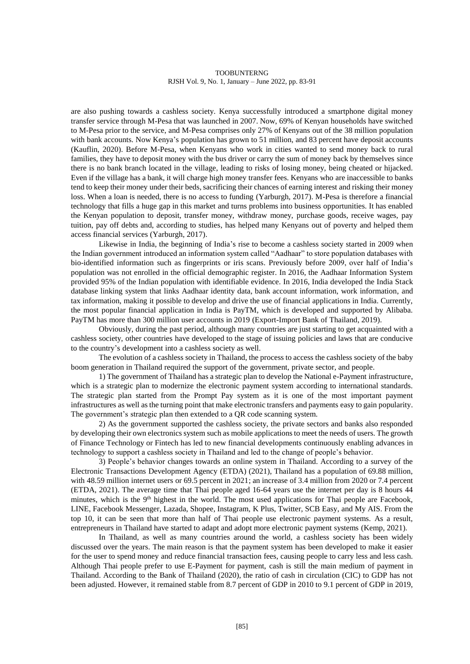are also pushing towards a cashless society. Kenya successfully introduced a smartphone digital money transfer service through M-Pesa that was launched in 2007. Now, 69% of Kenyan households have switched to M-Pesa prior to the service, and M-Pesa comprises only 27% of Kenyans out of the 38 million population with bank accounts. Now Kenya's population has grown to 51 million, and 83 percent have deposit accounts (Kauflin, 2020). Before M-Pesa, when Kenyans who work in cities wanted to send money back to rural families, they have to deposit money with the bus driver or carry the sum of money back by themselves since there is no bank branch located in the village, leading to risks of losing money, being cheated or hijacked. Even if the village has a bank, it will charge high money transfer fees. Kenyans who are inaccessible to banks tend to keep their money under their beds, sacrificing their chances of earning interest and risking their money loss. When a loan is needed, there is no access to funding (Yarburgh, 2017). M-Pesa is therefore a financial technology that fills a huge gap in this market and turns problems into business opportunities. It has enabled the Kenyan population to deposit, transfer money, withdraw money, purchase goods, receive wages, pay tuition, pay off debts and, according to studies, has helped many Kenyans out of poverty and helped them access financial services (Yarburgh, 2017).

Likewise in India, the beginning of India's rise to become a cashless society started in 2009 when the Indian government introduced an information system called "Aadhaar" to store population databases with bio-identified information such as fingerprints or iris scans. Previously before 2009, over half of India's population was not enrolled in the official demographic register. In 2016, the Aadhaar Information System provided 95% of the Indian population with identifiable evidence. In 2016, India developed the India Stack database linking system that links Aadhaar identity data, bank account information, work information, and tax information, making it possible to develop and drive the use of financial applications in India. Currently, the most popular financial application in India is PayTM, which is developed and supported by Alibaba. PayTM has more than 300 million user accounts in 2019 (Export-Import Bank of Thailand, 2019).

Obviously, during the past period, although many countries are just starting to get acquainted with a cashless society, other countries have developed to the stage of issuing policies and laws that are conducive to the country's development into a cashless society as well.

The evolution of a cashless society in Thailand, the process to access the cashless society of the baby boom generation in Thailand required the support of the government, private sector, and people.

1) The government of Thailand has a strategic plan to develop the National e-Payment infrastructure, which is a strategic plan to modernize the electronic payment system according to international standards. The strategic plan started from the Prompt Pay system as it is one of the most important payment infrastructures as well as the turning point that make electronic transfers and payments easy to gain popularity. The government's strategic plan then extended to a QR code scanning system.

2) As the government supported the cashless society, the private sectors and banks also responded by developing their own electronics system such as mobile applications to meet the needs of users. The growth of Finance Technology or Fintech has led to new financial developments continuously enabling advances in technology to support a cashless society in Thailand and led to the change of people's behavior.

3) People's behavior changes towards an online system in Thailand. According to a survey of the Electronic Transactions Development Agency (ETDA) (2021), Thailand has a population of 69.88 million, with 48.59 million internet users or 69.5 percent in 2021; an increase of 3.4 million from 2020 or 7.4 percent (ETDA, 2021). The average time that Thai people aged 16-64 years use the internet per day is 8 hours 44 minutes, which is the 9<sup>th</sup> highest in the world. The most used applications for Thai people are Facebook, LINE, Facebook Messenger, Lazada, Shopee, Instagram, K Plus, Twitter, SCB Easy, and My AIS. From the top 10, it can be seen that more than half of Thai people use electronic payment systems. As a result, entrepreneurs in Thailand have started to adapt and adopt more electronic payment systems (Kemp, 2021).

In Thailand, as well as many countries around the world, a cashless society has been widely discussed over the years. The main reason is that the payment system has been developed to make it easier for the user to spend money and reduce financial transaction fees, causing people to carry less and less cash. Although Thai people prefer to use E-Payment for payment, cash is still the main medium of payment in Thailand. According to the Bank of Thailand (2020), the ratio of cash in circulation (CIC) to GDP has not been adjusted. However, it remained stable from 8.7 percent of GDP in 2010 to 9.1 percent of GDP in 2019,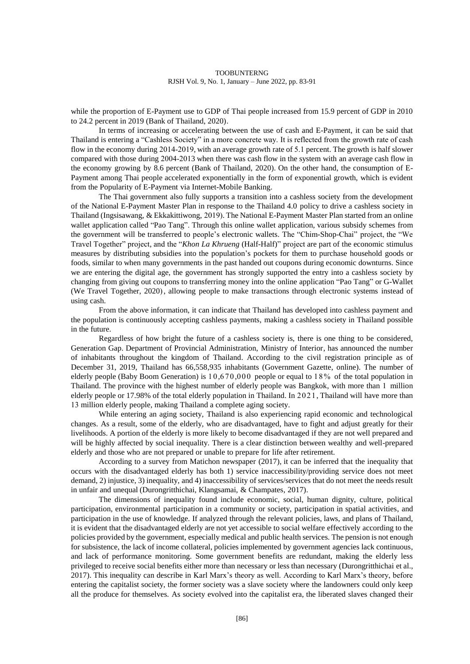while the proportion of E-Payment use to GDP of Thai people increased from 15.9 percent of GDP in 2010 to 24.2 percent in 2019 (Bank of Thailand, 2020).

In terms of increasing or accelerating between the use of cash and E-Payment, it can be said that Thailand is entering a "Cashless Society" in a more concrete way. It is reflected from the growth rate of cash flow in the economy during 2014-2019, with an average growth rate of 5.1 percent. The growth is half slower compared with those during 2004-2013 when there was cash flow in the system with an average cash flow in the economy growing by 8.6 percent (Bank of Thailand, 2020). On the other hand, the consumption of E-Payment among Thai people accelerated exponentially in the form of exponential growth, which is evident from the Popularity of E-Payment via Internet-Mobile Banking.

The Thai government also fully supports a transition into a cashless society from the development of the National E-Payment Master Plan in response to the Thailand 4.0 policy to drive a cashless society in Thailand (Ingsisawang, & Ekkakittiwong, 2019). The National E-Payment Master Plan started from an online wallet application called "Pao Tang". Through this online wallet application, various subsidy schemes from the government will be transferred to people's electronic wallets. The "Chim-Shop-Chai" project, the "We Travel Together" project, and the "*Khon La Khrueng* (Half-Half)" project are part of the economic stimulus measures by distributing subsidies into the population's pockets for them to purchase household goods or foods, similar to when many governments in the past handed out coupons during economic downturns. Since we are entering the digital age, the government has strongly supported the entry into a cashless society by changing from giving out coupons to transferring money into the online application "Pao Tang" or G-Wallet (We Travel Together, 2020), allowing people to make transactions through electronic systems instead of using cash.

From the above information, it can indicate that Thailand has developed into cashless payment and the population is continuously accepting cashless payments, making a cashless society in Thailand possible in the future.

Regardless of how bright the future of a cashless society is, there is one thing to be considered, Generation Gap. Department of Provincial Administration, Ministry of Interior, has announced the number of inhabitants throughout the kingdom of Thailand. According to the civil registration principle as of December 31, 2019, Thailand has 66,558,935 inhabitants (Government Gazette, online). The number of elderly people (Baby Boom Generation) is 1 0 ,670 ,000 people or equal to 1 8 % of the total population in Thailand. The province with the highest number of elderly people was Bangkok, with more than 1 million elderly people or 17.98% of the total elderly population in Thailand. In 2021, Thailand will have more than 13 million elderly people, making Thailand a complete aging society.

While entering an aging society, Thailand is also experiencing rapid economic and technological changes. As a result, some of the elderly, who are disadvantaged, have to fight and adjust greatly for their livelihoods. A portion of the elderly is more likely to become disadvantaged if they are not well prepared and will be highly affected by social inequality. There is a clear distinction between wealthy and well-prepared elderly and those who are not prepared or unable to prepare for life after retirement.

According to a survey from Matichon newspaper (2017), it can be inferred that the inequality that occurs with the disadvantaged elderly has both 1) service inaccessibility/providing service does not meet demand, 2) injustice, 3) inequality, and 4) inaccessibility of services/services that do not meet the needs result in unfair and unequal (Durongritthichai, Klangsamai, & Champates, 2017).

The dimensions of inequality found include economic, social, human dignity, culture, political participation, environmental participation in a community or society, participation in spatial activities, and participation in the use of knowledge. If analyzed through the relevant policies, laws, and plans of Thailand, it is evident that the disadvantaged elderly are not yet accessible to social welfare effectively according to the policies provided by the government, especially medical and public health services. The pension is not enough for subsistence, the lack of income collateral, policies implemented by government agencies lack continuous, and lack of performance monitoring. Some government benefits are redundant, making the elderly less privileged to receive social benefits either more than necessary or less than necessary (Durongritthichai et al., 2017). This inequality can describe in Karl Marx's theory as well. According to Karl Marx's theory, before entering the capitalist society, the former society was a slave society where the landowners could only keep all the produce for themselves. As society evolved into the capitalist era, the liberated slaves changed their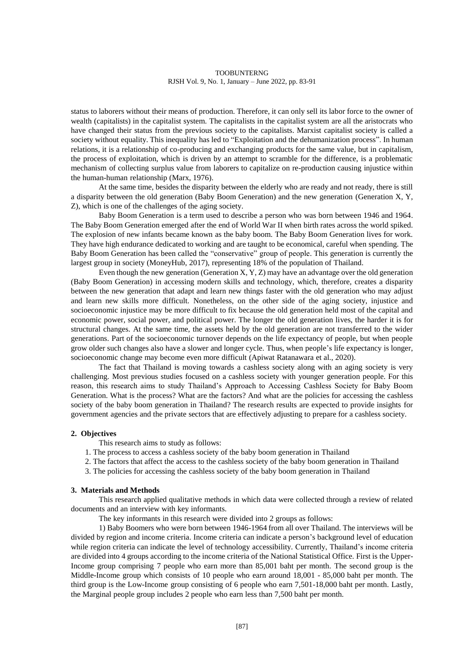status to laborers without their means of production. Therefore, it can only sell its labor force to the owner of wealth (capitalists) in the capitalist system. The capitalists in the capitalist system are all the aristocrats who have changed their status from the previous society to the capitalists. Marxist capitalist society is called a society without equality. This inequality has led to "Exploitation and the dehumanization process". In human relations, it is a relationship of co-producing and exchanging products for the same value, but in capitalism, the process of exploitation, which is driven by an attempt to scramble for the difference, is a problematic mechanism of collecting surplus value from laborers to capitalize on re-production causing injustice within the human-human relationship (Marx, 1976).

At the same time, besides the disparity between the elderly who are ready and not ready, there is still a disparity between the old generation (Baby Boom Generation) and the new generation (Generation X, Y, Z), which is one of the challenges of the aging society.

Baby Boom Generation is a term used to describe a person who was born between 1946 and 1964. The Baby Boom Generation emerged after the end of World War II when birth rates across the world spiked. The explosion of new infants became known as the baby boom. The Baby Boom Generation lives for work. They have high endurance dedicated to working and are taught to be economical, careful when spending. The Baby Boom Generation has been called the "conservative" group of people. This generation is currently the largest group in society (MoneyHub, 2017), representing 18% of the population of Thailand.

Even though the new generation (Generation X, Y, Z) may have an advantage over the old generation (Baby Boom Generation) in accessing modern skills and technology, which, therefore, creates a disparity between the new generation that adapt and learn new things faster with the old generation who may adjust and learn new skills more difficult. Nonetheless, on the other side of the aging society, injustice and socioeconomic injustice may be more difficult to fix because the old generation held most of the capital and economic power, social power, and political power. The longer the old generation lives, the harder it is for structural changes. At the same time, the assets held by the old generation are not transferred to the wider generations. Part of the socioeconomic turnover depends on the life expectancy of people, but when people grow older such changes also have a slower and longer cycle. Thus, when people's life expectancy is longer, socioeconomic change may become even more difficult (Apiwat Ratanawara et al., 2020).

The fact that Thailand is moving towards a cashless society along with an aging society is very challenging. Most previous studies focused on a cashless society with younger generation people. For this reason, this research aims to study Thailand's Approach to Accessing Cashless Society for Baby Boom Generation. What is the process? What are the factors? And what are the policies for accessing the cashless society of the baby boom generation in Thailand? The research results are expected to provide insights for government agencies and the private sectors that are effectively adjusting to prepare for a cashless society.

# **2. Objectives**

This research aims to study as follows:

- 1. The process to access a cashless society of the baby boom generation in Thailand
- 2. The factors that affect the access to the cashless society of the baby boom generation in Thailand
- 3. The policies for accessing the cashless society of the baby boom generation in Thailand

# **3. Materials and Methods**

This research applied qualitative methods in which data were collected through a review of related documents and an interview with key informants.

The key informants in this research were divided into 2 groups as follows:

1) Baby Boomers who were born between 1946-1964 from all over Thailand. The interviews will be divided by region and income criteria. Income criteria can indicate a person's background level of education while region criteria can indicate the level of technology accessibility. Currently, Thailand's income criteria are divided into 4 groups according to the income criteria of the National Statistical Office. First is the Upper-Income group comprising 7 people who earn more than 85,001 baht per month. The second group is the Middle-Income group which consists of 10 people who earn around 18,001 - 85,000 baht per month. The third group is the Low-Income group consisting of 6 people who earn 7,501-18,000 baht per month. Lastly, the Marginal people group includes 2 people who earn less than 7,500 baht per month.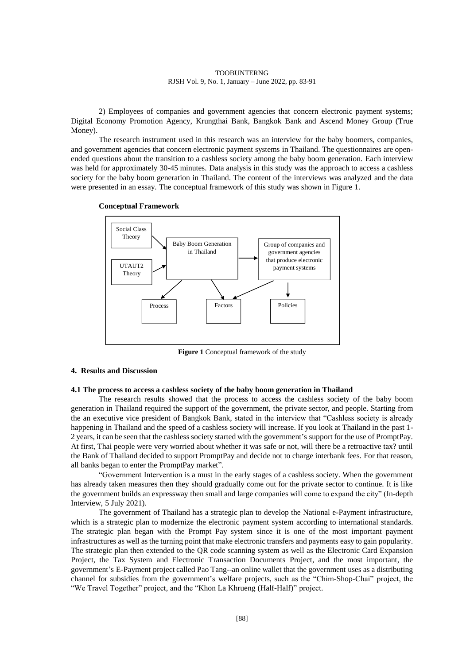2) Employees of companies and government agencies that concern electronic payment systems; Digital Economy Promotion Agency, Krungthai Bank, Bangkok Bank and Ascend Money Group (True Money).

The research instrument used in this research was an interview for the baby boomers, companies, and government agencies that concern electronic payment systems in Thailand. The questionnaires are openended questions about the transition to a cashless society among the baby boom generation. Each interview was held for approximately 30-45 minutes. Data analysis in this study was the approach to access a cashless society for the baby boom generation in Thailand. The content of the interviews was analyzed and the data were presented in an essay. The conceptual framework of this study was shown in Figure 1.





**Figure 1** Conceptual framework of the study

# **4. Results and Discussion**

# **4.1 The process to access a cashless society of the baby boom generation in Thailand**

The research results showed that the process to access the cashless society of the baby boom generation in Thailand required the support of the government, the private sector, and people. Starting from the an executive vice president of Bangkok Bank, stated in the interview that "Cashless society is already happening in Thailand and the speed of a cashless society will increase. If you look at Thailand in the past 1- 2 years, it can be seen that the cashless society started with the government's support for the use of PromptPay. At first, Thai people were very worried about whether it was safe or not, will there be a retroactive tax? until the Bank of Thailand decided to support PromptPay and decide not to charge interbank fees. For that reason, all banks began to enter the PromptPay market".

"Government Intervention is a must in the early stages of a cashless society. When the government has already taken measures then they should gradually come out for the private sector to continue. It is like the government builds an expressway then small and large companies will come to expand the city" (In-depth Interview, 5 July 2021).

The government of Thailand has a strategic plan to develop the National e-Payment infrastructure, which is a strategic plan to modernize the electronic payment system according to international standards. The strategic plan began with the Prompt Pay system since it is one of the most important payment infrastructures as well as the turning point that make electronic transfers and payments easy to gain popularity. The strategic plan then extended to the QR code scanning system as well as the Electronic Card Expansion Project, the Tax System and Electronic Transaction Documents Project, and the most important, the government's E-Payment project called Pao Tang--an online wallet that the government uses as a distributing channel for subsidies from the government's welfare projects, such as the "Chim-Shop-Chai" project, the "We Travel Together" project, and the "Khon La Khrueng (Half-Half)" project.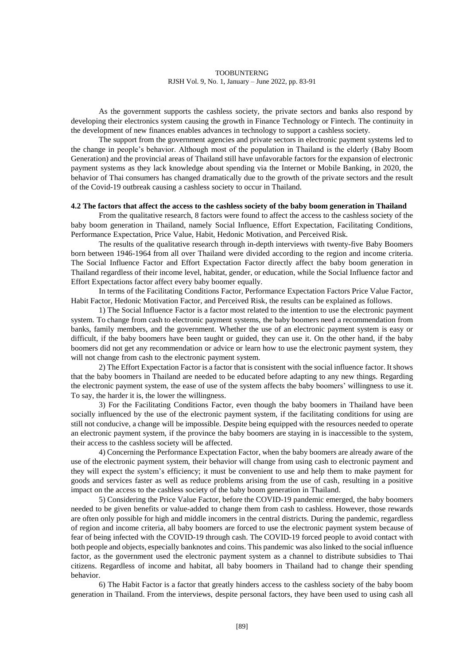As the government supports the cashless society, the private sectors and banks also respond by developing their electronics system causing the growth in Finance Technology or Fintech. The continuity in the development of new finances enables advances in technology to support a cashless society.

The support from the government agencies and private sectors in electronic payment systems led to the change in people's behavior. Although most of the population in Thailand is the elderly (Baby Boom Generation) and the provincial areas of Thailand still have unfavorable factors for the expansion of electronic payment systems as they lack knowledge about spending via the Internet or Mobile Banking, in 2020, the behavior of Thai consumers has changed dramatically due to the growth of the private sectors and the result of the Covid-19 outbreak causing a cashless society to occur in Thailand.

## **4.2 The factors that affect the access to the cashless society of the baby boom generation in Thailand**

From the qualitative research, 8 factors were found to affect the access to the cashless society of the baby boom generation in Thailand, namely Social Influence, Effort Expectation, Facilitating Conditions, Performance Expectation, Price Value, Habit, Hedonic Motivation, and Perceived Risk.

The results of the qualitative research through in-depth interviews with twenty-five Baby Boomers born between 1946-1964 from all over Thailand were divided according to the region and income criteria. The Social Influence Factor and Effort Expectation Factor directly affect the baby boom generation in Thailand regardless of their income level, habitat, gender, or education, while the Social Influence factor and Effort Expectations factor affect every baby boomer equally.

In terms of the Facilitating Conditions Factor, Performance Expectation Factors Price Value Factor, Habit Factor, Hedonic Motivation Factor, and Perceived Risk, the results can be explained as follows.

1) The Social Influence Factor is a factor most related to the intention to use the electronic payment system. To change from cash to electronic payment systems, the baby boomers need a recommendation from banks, family members, and the government. Whether the use of an electronic payment system is easy or difficult, if the baby boomers have been taught or guided, they can use it. On the other hand, if the baby boomers did not get any recommendation or advice or learn how to use the electronic payment system, they will not change from cash to the electronic payment system.

2) The Effort Expectation Factor is a factor that is consistent with the social influence factor. It shows that the baby boomers in Thailand are needed to be educated before adapting to any new things. Regarding the electronic payment system, the ease of use of the system affects the baby boomers' willingness to use it. To say, the harder it is, the lower the willingness.

3) For the Facilitating Conditions Factor, even though the baby boomers in Thailand have been socially influenced by the use of the electronic payment system, if the facilitating conditions for using are still not conducive, a change will be impossible. Despite being equipped with the resources needed to operate an electronic payment system, if the province the baby boomers are staying in is inaccessible to the system, their access to the cashless society will be affected.

4) Concerning the Performance Expectation Factor, when the baby boomers are already aware of the use of the electronic payment system, their behavior will change from using cash to electronic payment and they will expect the system's efficiency; it must be convenient to use and help them to make payment for goods and services faster as well as reduce problems arising from the use of cash, resulting in a positive impact on the access to the cashless society of the baby boom generation in Thailand.

5) Considering the Price Value Factor, before the COVID-19 pandemic emerged, the baby boomers needed to be given benefits or value-added to change them from cash to cashless. However, those rewards are often only possible for high and middle incomers in the central districts. During the pandemic, regardless of region and income criteria, all baby boomers are forced to use the electronic payment system because of fear of being infected with the COVID-19 through cash. The COVID-19 forced people to avoid contact with both people and objects, especially banknotes and coins. This pandemic was also linked to the social influence factor, as the government used the electronic payment system as a channel to distribute subsidies to Thai citizens. Regardless of income and habitat, all baby boomers in Thailand had to change their spending behavior.

6) The Habit Factor is a factor that greatly hinders access to the cashless society of the baby boom generation in Thailand. From the interviews, despite personal factors, they have been used to using cash all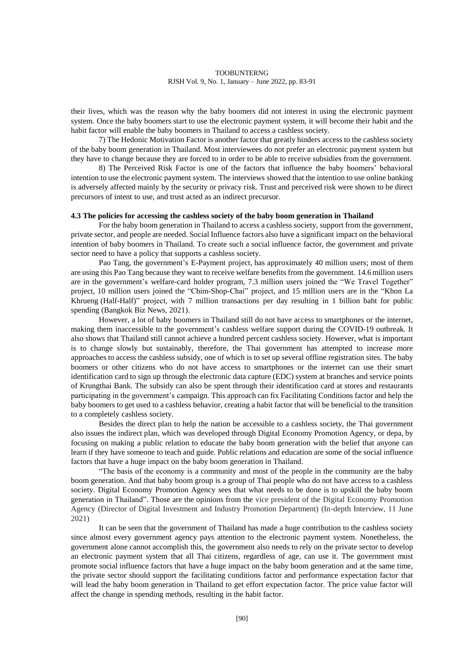their lives, which was the reason why the baby boomers did not interest in using the electronic payment system. Once the baby boomers start to use the electronic payment system, it will become their habit and the habit factor will enable the baby boomers in Thailand to access a cashless society.

7) The Hedonic Motivation Factor is another factor that greatly hinders access to the cashless society of the baby boom generation in Thailand. Most interviewees do not prefer an electronic payment system but they have to change because they are forced to in order to be able to receive subsidies from the government.

8) The Perceived Risk Factor is one of the factors that influence the baby boomers' behavioral intention to use the electronic payment system. The interviews showed that the intention to use online banking is adversely affected mainly by the security or privacy risk. Trust and perceived risk were shown to be direct precursors of intent to use, and trust acted as an indirect precursor.

# **4.3 The policies for accessing the cashless society of the baby boom generation in Thailand**

For the baby boom generation in Thailand to access a cashless society, support from the government, private sector, and people are needed. Social Influence factors also have a significant impact on the behavioral intention of baby boomers in Thailand. To create such a social influence factor, the government and private sector need to have a policy that supports a cashless society.

Pao Tang, the government's E-Payment project, has approximately 40 million users; most of them are using this Pao Tang because they want to receive welfare benefits from the government. 14.6million users are in the government's welfare-card holder program, 7.3 million users joined the "We Travel Together" project, 10 million users joined the "Chim-Shop-Chai" project, and 15 million users are in the "Khon La Khrueng (Half-Half)" project, with 7 million transactions per day resulting in 1 billion baht for public spending (Bangkok Biz News, 2021).

However, a lot of baby boomers in Thailand still do not have access to smartphones or the internet, making them inaccessible to the government's cashless welfare support during the COVID-19 outbreak. It also shows that Thailand still cannot achieve a hundred percent cashless society. However, what is important is to change slowly but sustainably, therefore, the Thai government has attempted to increase more approaches to access the cashless subsidy, one of which is to set up several offline registration sites. The baby boomers or other citizens who do not have access to smartphones or the internet can use their smart identification card to sign up through the electronic data capture (EDC) system at branches and service points of Krungthai Bank. The subsidy can also be spent through their identification card at stores and restaurants participating in the government's campaign. This approach can fix Facilitating Conditions factor and help the baby boomers to get used to a cashless behavior, creating a habit factor that will be beneficial to the transition to a completely cashless society.

Besides the direct plan to help the nation be accessible to a cashless society, the Thai government also issues the indirect plan, which was developed through Digital Economy Promotion Agency, or depa, by focusing on making a public relation to educate the baby boom generation with the belief that anyone can learn if they have someone to teach and guide. Public relations and education are some of the social influence factors that have a huge impact on the baby boom generation in Thailand.

"The basis of the economy is a community and most of the people in the community are the baby boom generation. And that baby boom group is a group of Thai people who do not have access to a cashless society. Digital Economy Promotion Agency sees that what needs to be done is to upskill the baby boom generation in Thailand". Those are the opinions from the vice president of the Digital Economy Promotion Agency (Director of Digital Investment and Industry Promotion Department) (In-depth Interview, 11 June 2021)

It can be seen that the government of Thailand has made a huge contribution to the cashless society since almost every government agency pays attention to the electronic payment system. Nonetheless, the government alone cannot accomplish this, the government also needs to rely on the private sector to develop an electronic payment system that all Thai citizens, regardless of age, can use it. The government must promote social influence factors that have a huge impact on the baby boom generation and at the same time, the private sector should support the facilitating conditions factor and performance expectation factor that will lead the baby boom generation in Thailand to get effort expectation factor. The price value factor will affect the change in spending methods, resulting in the habit factor.